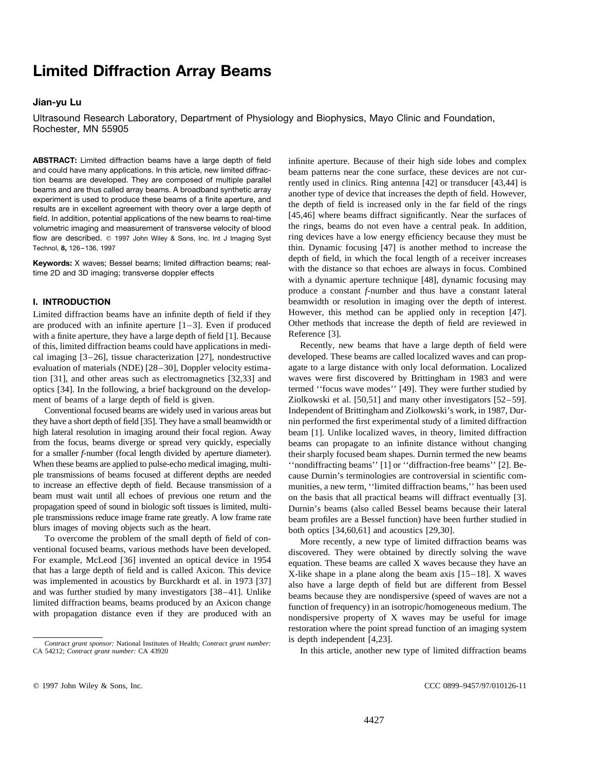# **Limited Diffraction Array Beams**

## **Jian-yu Lu**

Ultrasound Research Laboratory, Department of Physiology and Biophysics, Mayo Clinic and Foundation, Rochester, MN 55905

and could have many applications. In this article, new limited diffrac-<br>tion beams are developed. They are composed of multiple parallel<br>reprivily used in clinics. Ring antenna [42] or transducer [43,44] is tion beams are developed. They are composed of multiple parallel<br>beams and are thus called array beams. A broadband synthetic array<br>experiment is used to produce these beams of a finite aperture, and<br>results are in excelle flow are described.  $\circ$  1997 John Wiley & Sons, Inc. Int J Imaging Syst ring devices have a low energy efficiency because they must be Technol, **8,** 126–136, 1997 thin. Dynamic focusing [47] is another method to increase the

are produced with an infinite aperture  $[1-3]$ . Even if produced Other methods with a finite aperture, they have a large depth of field  $[1]$ . Because Reference [3]. with a finite aperture, they have a large depth of field  $[1]$ . Because of this, limited diffraction beams could have applications in medi- Recently, new beams that have a large depth of field were cal imaging [3–26], tissue characterization [27], nondestructive developed. These beams are called localized waves and can propevaluation of materials (NDE) [28–30], Doppler velocity estima- agate to a large distance with only local deformation. Localized tion [31], and other areas such as electromagnetics [32,33] and waves were first discovered by Brittingham in 1983 and were optics [34]. In the following, a brief background on the develop- termed ''focus wave modes'' [49]. They were further studied by ment of beams of a large depth of field is given. Ziolkowski et al. [50,51] and many other investigators [52–59].

they have a short depth of field [35]. They have a small beamwidth or nin performed the first experimental study of a limited diffraction high lateral resolution in imaging around their focal region. Away beam [1]. Unlike localized waves, in theory, limited diffraction from the focus, beams diverge or spread very quickly, especially beams can propagate to an infinite distance without changing for a smaller *f*-number (focal length divided by aperture diameter). their sharply focused beam shapes. Durnin termed the new beams When these beams are applied to pulse-echo medical imaging, multi-<br>
''nondiffracting beams'' [1] or ''diffraction-free beams'' [2]. Beple transmissions of beams focused at different depths are needed cause Durnin's terminologies are controversial in scientific com-<br>to increase an effective depth of field. Because transmission of a munities, a new term, " beam must wait until all echoes of previous one return and the on the basis that all practical beams will diffract eventually [3].<br>propagation speed of sound in biologic soft tissues is limited, multi-<br>Durnin's beams (also propagation speed of sound in biologic soft tissues is limited, multi-<br>ple transmissions reduce image frame rate greatly. A low frame rate<br>heam profiles are a Bessel function) have been further studied in blurs images of moving objects such as the heart.<br>To overcome the problem of the small depth of field of con-<br>More recently, a new type of limited diffused  $\frac{1}{2}$ .

**ABSTRACT:** Limited diffraction beams have a large depth of field infinite aperture. Because of their high side lobes and complex and could have many applications. In this article, new limited diffrac-<br>beam patterns near t **Keywords:** X waves; Bessel beams; limited diffraction beams; real-<br>time 2D and 3D imaging; transverse doppler effects<br>with a dynamic aperture technique [48], dynamic focusing may produce a constant *f*-number and thus have a constant lateral **I. INTRODUCTION** beamwidth or resolution in imaging over the depth of interest. Limited diffraction beams have an infinite depth of field if they However, this method can be applied only in reception [47].<br>are produced with an infinite aperture  $[1-3]$ . Even if produced Other methods that increase the

Conventional focused beams are widely used in various areas but Independent of Brittingham and Ziolkowski's work, in 1987, Durmunities, a new term, ''limited diffraction beams,'' has been used beam profiles are a Bessel function) have been further studied in

To overcome the problem of the small depth of field of con-<br>For example, McLeod [36] invented an optical device in 1954<br>that has a large depth of field and is called Axicon. This device<br>was implemented in acoustics by Burc restoration where the point spread function of an imaging system

In this article, another new type of limited diffraction beams

is depth independent [4,23]. *Contract grant sponsor:* National Institutes of Health; *Contract grant number:*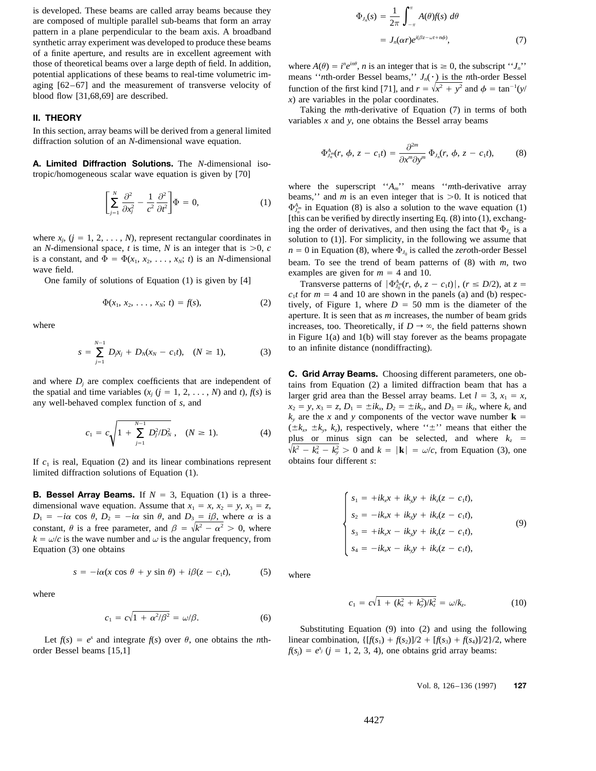is developed. These beams are called array beams because they are composed of multiple parallel sub-beams that form an array pattern in a plane perpendicular to the beam axis. A broadband synthetic array experiment was developed to produce these beams of a finite aperture, and results are in excellent agreement with those of theoretical beams over a large depth of field. In addition, potential applications of these beams to real-time volumetric imaging [62–67] and the measurement of transverse velocity of blood flow [31,68,69] are described.

In this section, array beams will be derived from a general limited diffraction solution of an *N*-dimensional wave equation.

**A. Limited Diffraction Solutions.** The *N*-dimensional isotropic/homogeneous scalar wave equation is given by [70]

$$
\left[\sum_{j=1}^{N} \frac{\partial^2}{\partial x_j^2} - \frac{1}{c^2} \frac{\partial^2}{\partial t^2}\right] \Phi = 0, \tag{1}
$$

an *N*-dimensional space, *t* is time, *N* is an integer that is  $>0$ , *c n* = 0 in Equation (8), where  $\Phi_{J_0}$  is called the *zeroth*-order Bessel is a constant, and  $\Phi = \Phi(x_1, x_2, \dots, x_N; t)$  is an *N*-dimensional beam is a constant, and  $\Psi = \Psi(x_1, x_2, \dots, x_N; t)$  is an *N*-dimensional beam. To see the trend of beam patterns of (8) with *m*, two wave field.

we field.<br>One family of solutions of Equation (1) is given by [4]<br>Transverse patterns of  $\left| \Phi \right|_{m}$  *A*  $\pi$ 

$$
\Phi(x_1, x_2, \ldots, x_N; t) = f(s), \tag{2}
$$

$$
s = \sum_{j=1}^{N-1} D_j x_j + D_N (x_N - c_1 t), \quad (N \ge 1), \tag{3}
$$

$$
c_1 = c \sqrt{1 + \sum_{j=1}^{N-1} D_j^2 / D_N^2}, \quad (N \ge 1). \tag{4}
$$

If  $c_1$  is real, Equation (2) and its linear combinations represent obtains four different *s*: limited diffraction solutions of Equation (1).

**B. Bessel Array Beams.** If  $N = 3$ , Equation (1) is a threedimensional wave equation. Assume that  $x_1 = x$ ,  $x_2 = y$ ,  $x_3 = z$ ,  $D_1 = -i\alpha \cos \theta$ ,  $D_2 = -i\alpha \sin \theta$ , and  $D_3 = i\beta$ , where  $\alpha$  is a constant,  $\theta$  is a free parameter, and  $\beta = \sqrt{k^2 - \alpha^2} > 0$ , where (9)  $k = \omega/c$  is the wave number and  $\omega$  is the angular frequency, from Equation (3) one obtains

$$
s = -i\alpha(x\cos\theta + y\sin\theta) + i\beta(z - c_1t),
$$
 (5) where

$$
c_1 = c\sqrt{1 + \alpha^2/\beta^2} = \omega/\beta.
$$
 (6)

order Bessel beams [15,1]

$$
\Phi_{J_n}(s) = \frac{1}{2\pi} \int_{-\pi}^{\pi} A(\theta) f(s) \, d\theta
$$
\n
$$
= J_n(\alpha r) e^{i(\beta z - \omega t + n\phi)}, \tag{7}
$$

 $n$ <sub>e</sub>in $\theta$ means ''*n*th-order Bessel beams,''  $J_n(\cdot)$  is the *n*th-order Bessel  $\sqrt{x^2 + y^2}$  and  $\phi = \tan^{-1}(y)$  $\lambda$ ) are variables in the polar coordinates.

**II. THEORY** Taking the *m*th-derivative of Equation (7) in terms of both variables *x* and *y*, one obtains the Bessel array beams

$$
\Phi_{J_n^m}^{A}(r, \phi, z - c_1 t) = \frac{\partial^{2m}}{\partial x^m \partial y^m} \Phi_{J_n}(r, \phi, z - c_1 t), \quad (8)
$$

where the superscript ''*A<sub>m</sub>*'' means ''*m*th-derivative array  $\left[\sum_{i=1}^{N} \frac{\partial^2}{\partial x_i^2} - \frac{1}{c^2} \frac{\partial^2}{\partial t^2}\right] \Phi = 0,$  (1) beams,'' and *m* is an even integer that is >0. It is noticed that  $\Phi_{\mathcal{A}_m^m}^{\text{beam}}$  in Equation (8) is also a solution to the wave equation (1) [this can be verified by directly inserting Eq. (8) into (1), exchanging the order of derivatives, and then using the fact that  $\Phi_{J_n}$  is a where  $x_j$ ,  $(j = 1, 2, \ldots, N)$ , represent rectangular coordinates in solution to (1)]. For simplicity, in the following we assume that

Transverse patterns of  $|\Phi_{J_0^m}^A(r, \phi, z - c_1t)|$ ,  $(r \le D/2)$ , at  $z =$  $c_1 t$  for  $m = 4$  and 10 are shown in the panels (a) and (b) respectively, of Figure 1, where  $D = 50$  mm is the diameter of the aperture. It is seen that as *m* increases, the number of beam grids where increases, too. Theoretically, if  $D \to \infty$ , the field patterns shown in Figure 1(a) and 1(b) will stay forever as the beams propagate to an infinite distance (nondiffracting).

and where  $D_j$  are complex coefficients that are independent of<br>the spatial and time variables  $(x_j$  ( $j = 1, 2, ..., N$ ) and  $t$ ),  $f(s)$  is<br>any well-behaved complex function of  $s$ , and<br> $x_2 = y$ ,  $x_3 = z$ ,  $D_1 = \pm ik_x$ ,  $D_2 = \pm ik_y$ ,  $k_y$  are the *x* and *y* components of the vector wave number **k** =  $({\pm}k_x, {\pm}k_y, k_z)$ , respectively, where  $``{\pm}"$  means that either the  $N<sub>N</sub>$ ,  $(N \ge 1)$ . (4)  $(\pm \lambda_x, \pm \lambda_y, \lambda_z)$ , respectively, where  $\Sigma$  means that enter the plus or minus sign can be selected, and where  $k<sub>z</sub> =$  $\sqrt{k^2 - k_x^2 - k_y^2} > 0$  and  $k = |\mathbf{k}| = \omega/c$ , from Equation (3), one

$$
\begin{cases}\ns_1 = +ik_x x + ik_y y + ik_z (z - c_1 t), \\
s_2 = -ik_x x + ik_y y + ik_z (z - c_1 t), \\
s_3 = +ik_x x - ik_y y + ik_z (z - c_1 t), \\
s_4 = -ik_x x - ik_y y + ik_z (z - c_1 t),\n\end{cases}
$$
\n(9)

where 
$$
c_1 = c\sqrt{1 + (k_x^2 + k_y^2)/k_z^2} = \omega/k_z.
$$
 (10)

Substituting Equation (9) into (2) and using the following Let  $f(s) = e^s$  and integrate  $f(s)$  over  $\theta$ , one obtains the *n*th-<br>linear combination,  $\{[f(s_1) + f(s_2)]/2 + [f(s_3) + f(s_4)]/2\}/2$ , where  $f(s_i) = e^{s_i}$  ( $j = 1, 2, 3, 4$ ), one obtains grid array beams: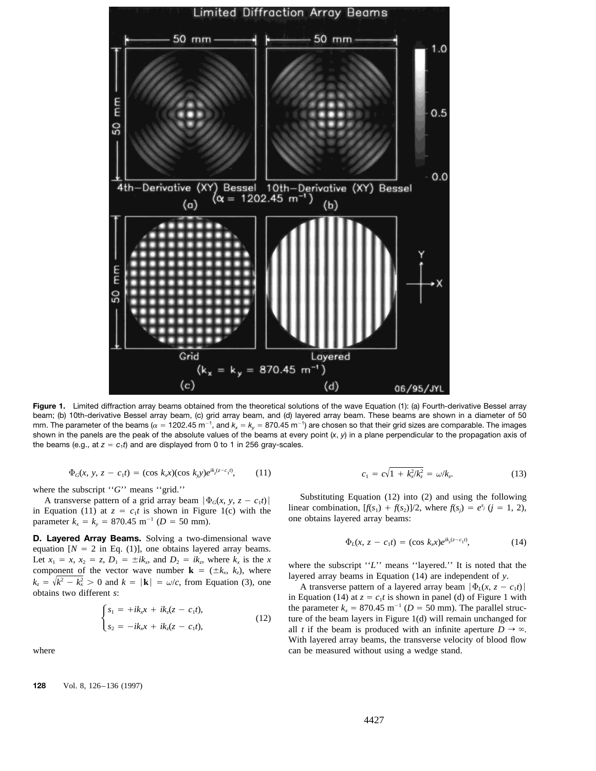

**Figure 1.** Limited diffraction array beams obtained from the theoretical solutions of the wave Equation (1): (a) Fourth-derivative Bessel array beam; (b) 10th-derivative Bessel array beam, (c) grid array beam, and (d) layered array beam. These beams are shown in a diameter of 50 mm. The parameter of the beams ( $\alpha=$  1202.45 m<sup>-1</sup>, and  $k_x$  =  $k_y$  = 870.45 m<sup>-1</sup>) are chosen so that their grid sizes are comparable. The images shown in the panels are the peak of the absolute values of the beams at every point (*x*, *y*) in a plane perpendicular to the propagation axis of the beams (e.g., at  $z = c_1 t$ ) and are displayed from 0 to 1 in 256 gray-scales.

$$
\Phi_G(x, y, z - c_1 t) = (\cos k_x x)(\cos k_y y)e^{ik_z(z - c_1 t)}, \qquad (11) \qquad c_1 = c
$$

in Equation (11) at  $z = c_1 t$  is shown in Figure 1(c) with the linear combination,  $[f(s_1) + f(s_2)]$  parameter  $k_x = k_y = 870.45$  m<sup>-1</sup> (*D* = 50 mm). one obtains layered array beams:

**D. Layered Array Beams.** Solving a two-dimensional wave equation  $[N = 2$  in Eq. (1)], one obtains layered array beams. Let  $x_1 = x$ ,  $x_2 = z$ ,  $D_1 = \pm ik_x$ , and  $D_2 = ik_z$ , where  $k_x$  is the  $x$  where the subscript "L" means "layered." It is noted that the component of the vector wave number  $\mathbf{k} = (\pm k_x, k_z)$ , where the subscript "L" means "laye  $\sqrt{k^2 - k_x^2}$ 

$$
\begin{cases}\ns_1 = +ik_x x + ik_z (z - c_1 t), \\
s_2 = -ik_x x + ik_z (z - c_1 t),\n\end{cases}
$$
\n(12)

$$
c_1 = c\sqrt{1 + k_x^2/k_z^2} = \omega/k_z.
$$
 (13)

where the subscript "G" means "grid."<br>
A transverse pattern of a grid array beam  $|\Phi_G(x, y, z - c_1t)|$ <br>
Substituting Equation (12) into (2) and using the following<br>
in Equation (11) at  $z = c_1t$  is shown in Figure 1(c) with the

$$
\Phi_L(x, z - c_1 t) = (\cos k_x x) e^{ik_z (z - c_1 t)}, \tag{14}
$$

obtains two different s:<br>in Equation (14) at  $z = c_1 t$  is shown in panel (d) of Figure 1 with  $\begin{cases} s_1 = +ik_x x + ik_z (z - c_1 t), \\ s_2 = -ik_x x + ik_z (z - c_1 t), \end{cases}$  (12) ture of the beam layers in Figure 1(d) will remain unchanged for all t if the beam is produced with an infinite aperture  $D \rightarrow \infty$ all *t* if the beam is produced with an infinite aperture  $D \rightarrow \infty$ . With layered array beams, the transverse velocity of blood flow where **can** be measured without using a wedge stand.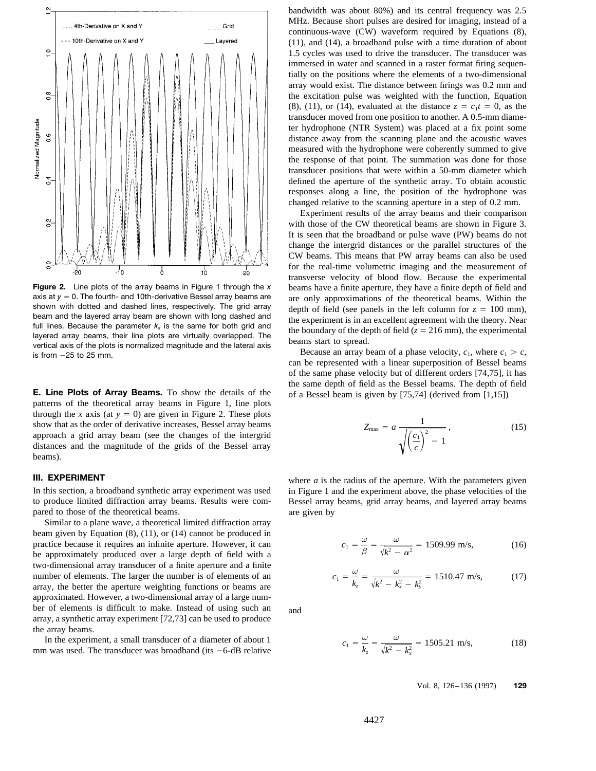

axis at  $y = 0$ . The fourth- and 10th-derivative Bessel array beams are are only approximations of the theoretical beams. Within the shown with dotted and dashed lines, respectively. The grid array denth of field (see pane shown with dotted and dashed lines, respectively. The grid array<br>beam and the layered array beam are shown with long dashed and<br>full lines. Because the parameter  $k_x$  is the same for both grid and<br>layered array beams, the

patterns of the theoretical array beams in Figure 1, line plots through the *x* axis (at  $y = 0$ ) are given in Figure 2. These plots show that as the order of derivative increases, Bessel array beams approach a grid array beam (see the changes of the intergrid distances and the magnitude of the grids of the Bessel array beams).

to produce limited diffraction array beams. Results were com- Bessel array beams, grid array beams, and layered array beams pared to those of the theoretical beams. The area given by a series are given by

Similar to a plane wave, a theoretical limited diffraction array beam given by Equation (8), (11), or (14) cannot be produced in practice because it requires an infinite aperture. However, it can be approximately produced over a large depth of field with a two-dimensional array transducer of a finite aperture and a finite number of elements. The larger the number is of elements of an array, the better the aperture weighting functions or beams are approximated. However, a two-dimensional array of a large number of elements is difficult to make. Instead of using such an and array, a synthetic array experiment [72,73] can be used to produce the array beams.

In the experiment, a small transducer of a diameter of about 1 mm was used. The transducer was broadband (its  $-6$ -dB relative bandwidth was about 80%) and its central frequency was 2.5 MHz. Because short pulses are desired for imaging, instead of a continuous-wave (CW) waveform required by Equations (8), (11), and (14), a broadband pulse with a time duration of about 1.5 cycles was used to drive the transducer. The transducer was immersed in water and scanned in a raster format firing sequentially on the positions where the elements of a two-dimensional array would exist. The distance between firings was 0.2 mm and the excitation pulse was weighted with the function, Equation (8), (11), or (14), evaluated at the distance  $z = c_1 t = 0$ , as the transducer moved from one position to another. A 0.5-mm diameter hydrophone (NTR System) was placed at a fix point some distance away from the scanning plane and the acoustic waves measured with the hydrophone were coherently summed to give the response of that point. The summation was done for those transducer positions that were within a 50-mm diameter which defined the aperture of the synthetic array. To obtain acoustic responses along a line, the position of the hydrophone was changed relative to the scanning aperture in a step of 0.2 mm.

Experiment results of the array beams and their comparison with those of the CW theoretical beams are shown in Figure 3. It is seen that the broadband or pulse wave (PW) beams do not change the intergrid distances or the parallel structures of the CW beams. This means that PW array beams can also be used for the real-time volumetric imaging and the measurement of transverse velocity of blood flow. Because the experimental **Figure 2.** Line plots of the array beams in Figure 1 through the *x* beams have a finite aperture, they have a finite depth of field and axis at  $y = 0$ . The fourth- and 10th-derivative Bessel array beams are only approxi

can be represented with a linear superposition of Bessel beams of the same phase velocity but of different orders [74,75], it has the same depth of field as the Bessel beams. The depth of field **E. Line Plots of Array Beams.** To show the details of the of a Bessel beam is given by [75,74] (derived from [1,15])

$$
Z_{\text{max}} = a \frac{1}{\sqrt{\left(\frac{c_1}{c}\right)^2 - 1}},\tag{15}
$$

**III.** EXPERIMENT where *a* is the radius of the aperture. With the parameters given In this section, a broadband synthetic array experiment was used in Figure 1 and the experiment above, the phase velocities of the

$$
c_1 = \frac{\omega}{\beta} = \frac{\omega}{\sqrt{k^2 - \alpha^2}} = 1509.99 \text{ m/s},\tag{16}
$$

$$
c_1 = \frac{\omega}{k_z} = \frac{\omega}{\sqrt{k^2 - k_x^2 - k_y^2}} = 1510.47 \text{ m/s}, \quad (17)
$$

$$
c_1 = \frac{\omega}{k_z} = \frac{\omega}{\sqrt{k^2 - k_x^2}} = 1505.21 \text{ m/s},\tag{18}
$$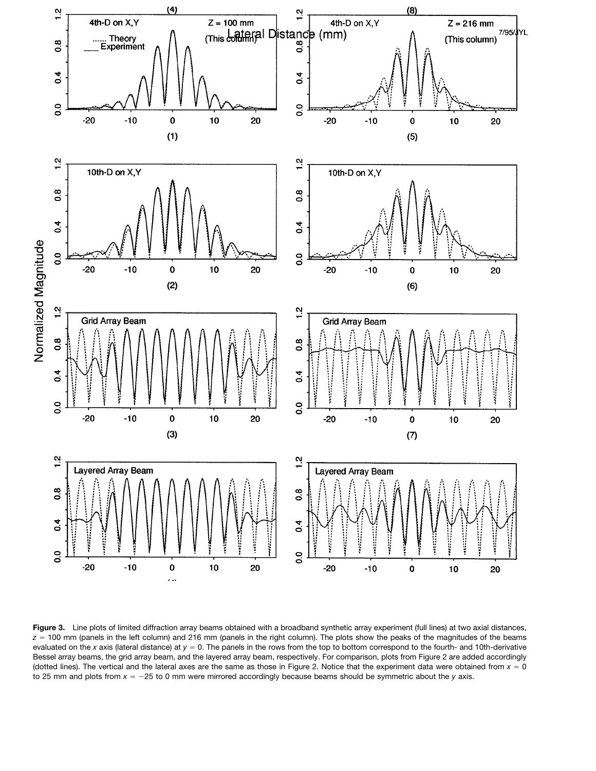

**Figure 3.** Line plots of limited diffraction array beams obtained with a broadband synthetic array experiment (full lines) at two axial distances,  $z = 100$  mm (panels in the left column) and 216 mm (panels in the right column). The plots show the peaks of the magnitudes of the beams evaluated on the *x* axis (lateral distance) at  $y = 0$ . The panels in the rows from the top to bottom correspond to the fourth- and 10th-derivative Bessel array beams, the grid array beam, and the layered array beam, respectively. For comparison, plots from Figure 2 are added accordingly (dotted lines). The vertical and the lateral axes are the same as those in Figure 2. Notice that the experiment data were obtained from  $x = 0$ to 25 mm and plots from  $x = -25$  to 0 mm were mirrored accordingly because beams should be symmetric about the *y* axis.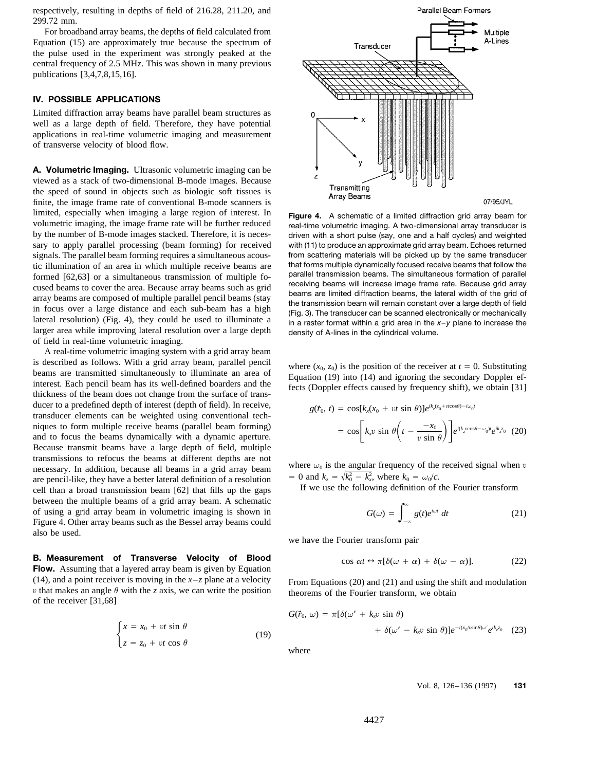respectively, resulting in depths of field of 216.28, 211.20, and 299.72 mm.

For broadband array beams, the depths of field calculated from Equation (15) are approximately true because the spectrum of the pulse used in the experiment was strongly peaked at the central frequency of 2.5 MHz. This was shown in many previous publications [3,4,7,8,15,16].

## **IV. POSSIBLE APPLICATIONS**

Limited diffraction array beams have parallel beam structures as well as a large depth of field. Therefore, they have potential applications in real-time volumetric imaging and measurement of transverse velocity of blood flow.

**A. Volumetric Imaging.** Ultrasonic volumetric imaging can be viewed as a stack of two-dimensional B-mode images. Because the speed of sound in objects such as biologic soft tissues is finite, the image frame rate of conventional B-mode scanners is limited, especially when imaging a large region of interest. In<br>volumetric imaging, the image frame rate will be further reduced real-time volumetric imaging. A two-dimensional array transducer is by the number of B-mode images stacked. Therefore, it is neces- driven with a short pulse (say, one and a half cycles) and weighted sary to apply parallel processing (beam forming) for received with (11) to produce an approximate grid array beam. Echoes returned signals. The parallel beam forming requires a simultaneous acous-<br>tic illumination of an area in which multiple receive beams are that forms multiple dynamically focused receive beams that follow the tic illumination of an area in which multiple receive beams are that forms multiple dynamically focused receive beams that follow the<br>formed [62.63] or a simultaneous transmission of multiple formatilel transmission beams. lateral resolution) (Fig. 4), they could be used to illuminate a in a raster format within a grid area in the x-y plane to increase the larger area while improving lateral resolution over a large depth density of A-lines i of field in real-time volumetric imaging.

A real-time volumetric imaging system with a grid array beam is described as follows. With a grid array beam, parallel pencil<br>beams are transmitted simultaneously to illuminate an area of<br>interest. Each pencil beam has its well-defined boarders and the<br>thickness of the beam does no ducer to a predefined depth of interest (depth of field). In receive, transducer elements can be weighted using conventional techniques to form multiple receive beams (parallel beam forming)<br>and to focus the beams dynamically with a dynamic aperture.<br> $\left[k_x v \sin \theta \left(t - \frac{-x_0}{v \sin \theta}\right)\right] e^{i(k_z v \cos \theta - \omega_0 t} e^{ik_z z_0}$  (20) Because transmit beams have a large depth of field, multiple transmissions to refocus the beams at different depths are not<br>necessary. In addition, because all beams in a grid array beam where  $\omega_0$  is the angular frequency of the received signal when v are pencil-like, they have a better lateral definition of a resolution  $v = 0$  and  $k_z = \sqrt{k_0^2 - k_x^2}$ , where  $k_0 = \omega_0/c$ .<br> *x*, where  $k_0 = \omega_0/c$ .<br> *x*, where  $k_0 = \omega_0/c$ . cell than a broad transmission beam  $[62]$  that fills up the gaps between the multiple beams of a grid array beam. A schematic of using a grid array beam in volumetric imaging is shown in Figure 4. Other array beams such as the Bessel array beams could also be used.

**B. Measurement of Transverse Velocity of Blood**<br>**Flow.** Assuming that a layered array beam is given by Equation (14), and a point receiver is moving in the  $x-z$  plane at a velocity<br>v that makes an angle  $\theta$  with the z axis, we can write the position theorems of the Fourier transform, we obtain of the receiver [31,68]

$$
\begin{cases}\n x = x_0 + vt \sin \theta \\
 z = z_0 + vt \cos \theta\n\end{cases}
$$
\n(19)



formed [62,63] or a simultaneous transmission of multiple formatilel transmission beams. The simultaneous formation of parallel<br>cused beams to cover the area. Because array beams such as grid<br>array beams are limited diffr

$$
g(\dot{r}_0, t) = \cos[k_x(x_0 + vt \sin \theta)]e^{ik_z(z_0 + vt \cos \theta) - i\omega_0 t}
$$
  
=  $\cos\left[k_x v \sin \theta \left(t - \frac{-x_0}{v \sin \theta}\right)\right]e^{i(k_z v \cos \theta - \omega_0)t}e^{ik_z z_0}$  (20)

 $\sqrt{k_0^2 - k_x^2}$ 

$$
G(\omega) = \int_{-\infty}^{\infty} g(t)e^{i\omega t} dt
$$
 (21)

we have the Fourier transform pair

$$
\cos \alpha t \leftrightarrow \pi [\delta(\omega + \alpha) + \delta(\omega - \alpha)]. \tag{22}
$$

$$
G(\tilde{r}_0, \omega) = \pi [\delta(\omega' + k_x v \sin \theta) + \delta(\omega' - k_x v \sin \theta)]e^{-i(x_0/v \sin \theta)\omega'}e^{ik_z z_0}
$$
(23)  

$$
z = z_0 + vt \cos \theta
$$

where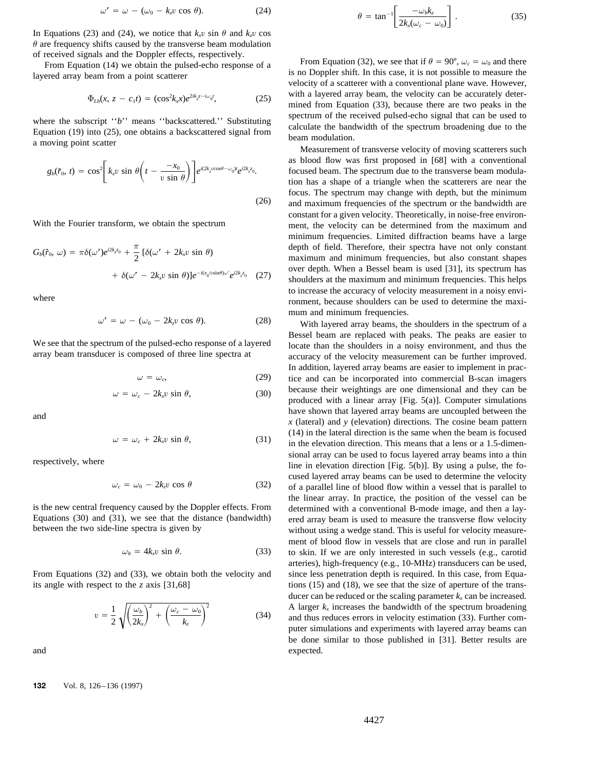$$
\omega' = \omega - (\omega_0 - k_z v \cos \theta). \tag{24}
$$

In Equations (23) and (24), we notice that  $k_x v \sin \theta$  and  $k_y v \cos \theta$  $\theta$  are frequency shifts caused by the transverse beam modulation

$$
\Phi_{Lb}(x, z - c_1 t) = (\cos^2 k_x x) e^{2ik_z z - i\omega_0 t}, \tag{25}
$$

$$
g_b(\vec{r}_0, t) = \cos^2 \left[ k_x v \sin \theta \left( t - \frac{-x_0}{v \sin \theta} \right) \right] e^{i(2k_z \cos \theta - \omega_0)t} e^{i2k_z z_0}.
$$
\n(26)

$$
G_b(\dot{r}_0, \omega) = \pi \delta(\omega') e^{i2k_z \dot{z}_0} + \frac{\pi}{2} \left[ \delta(\omega' + 2k_x v \sin \theta) + \delta(\omega' - 2k_x v \sin \theta) \right] e^{-i(x_0/v \sin \theta) \omega'} e^{i2k_z z_0} \quad (27)
$$

$$
\omega' = \omega - (\omega_0 - 2k_z v \cos \theta). \tag{28}
$$

$$
\omega = \omega_c, \tag{29}
$$

$$
\omega = \omega_c - 2k_x v \sin \theta, \tag{30}
$$

$$
\omega = \omega_c + 2k_x v \sin \theta, \tag{31}
$$

$$
\omega_c = \omega_0 - 2k_z v \cos \theta \tag{32}
$$

$$
\omega_b = 4k_x v \sin \theta. \tag{33}
$$

From Equations (32) and (33), we obtain both the velocity and since less penetration depth is required. In this case, from Equaits angle with respect to the *z* axis [31,68] tions (15) and (18), we see that the size of aperture of the trans-

$$
v = \frac{1}{2} \sqrt{\left(\frac{\omega_b}{2k_x}\right)^2 + \left(\frac{\omega_c - \omega_0}{k_z}\right)^2} \tag{34}
$$

$$
\theta = \tan^{-1} \left[ \frac{-\omega_b k_z}{2k_x(\omega_c - \omega_0)} \right]. \tag{35}
$$

of received signals and the Doppler effects, respectively.<br>
From Equation (32), we see that if  $\theta = 90^{\circ}$ ,  $\omega_c = \omega_0$  and there<br>
In Equation (14) we obtain the pulsed-echo response of a<br>
layered array beam from a point with a layered array beam, the velocity can be accurately determined from Equation  $(33)$ , because there are two peaks in the where the subscript "b" means "backscattered." Substituting<br>Equation (19) into (25), one obtains a backscattered signal from<br>a moving point scatter bandwidth of the spectrum broadening due to the<br>m modulation.<br>Measurement

as blood flow was first proposed in [68] with a conventional focused beam. The spectrum due to the transverse beam modulation has a shape of a triangle when the scatterers are near the focus. The spectrum may change with depth, but the minimum (26) and maximum frequencies of the spectrum or the bandwidth are constant for a given velocity. Theoretically, in noise-free environ-With the Fourier transform, we obtain the spectrum ment, the velocity can be determined from the maximum and minimum frequencies. Limited diffraction beams have a large  $G_k(\vec{t}_0, \omega) = \pi \delta(\omega') e^{i2kz_0} + \frac{\pi}{2} [\delta(\omega' + 2kx_0 + \omega)]$  depth of field. Therefore, their spectra have not only constant maximum and minimum frequencies, but also constant shapes over depth. When a Bessel beam is used [31], its spectrum has shoulders at the maximum and minimum frequencies. This helps to increase the accuracy of velocity measurement in a noisy envi-<br>
ronment, because shoulders can be used to determine the maximum and minimum frequencies.<br>With layered array beams, the shoulders in the spectrum of a

Bessel beam are replaced with peaks. The peaks are easier to We see that the spectrum of the pulsed-echo response of a layered locate than the shoulders in a noisy environment, and thus the array beam transducer is composed of three line spectra at a secure of the velocity measureme accuracy of the velocity measurement can be further improved. In addition, layered array beams are easier to implement in practice and can be incorporated into commercial B-scan imagers because their weightings are one dimensional and they can be produced with a linear array [Fig. 5(a)]. Computer simulations have shown that layered array beams are uncoupled between the <br>*x* (lateral) and *y* (elevation) directions. The cosine beam pattern  $(14)$  in the lateral direction is the same when the beam is focused in the elevation direction. This means that a lens or a 1.5-dimensional array can be used to focus layered array beams into a thin respectively, where line in elevation direction [Fig. 5(b)]. By using a pulse, the focused layered array beams can be used to determine the velocity of a parallel line of blood flow within a vessel that is parallel to the linear array. In practice, the position of the vessel can be is the new central frequency caused by the Doppler effects. From determined with a conventional B-mode image, and then a lay-Equations (30) and (31), we see that the distance (bandwidth) ered array beam is used to measure the transverse flow velocity between the two side-line spectra is given by without using a wedge stand. This is useful for ve without using a wedge stand. This is useful for velocity measurement of blood flow in vessels that are close and run in parallel to skin. If we are only interested in such vessels (e.g., carotid arteries), high-frequency (e.g., 10-MHz) transducers can be used, ducer can be reduced or the scaling parameter  $k<sub>x</sub>$  can be increased. A larger  $k_x$  increases the bandwidth of the spectrum broadening and thus reduces errors in velocity estimation (33). Further computer simulations and experiments with layered array beams can be done similar to those published in [31]. Better results are and expected.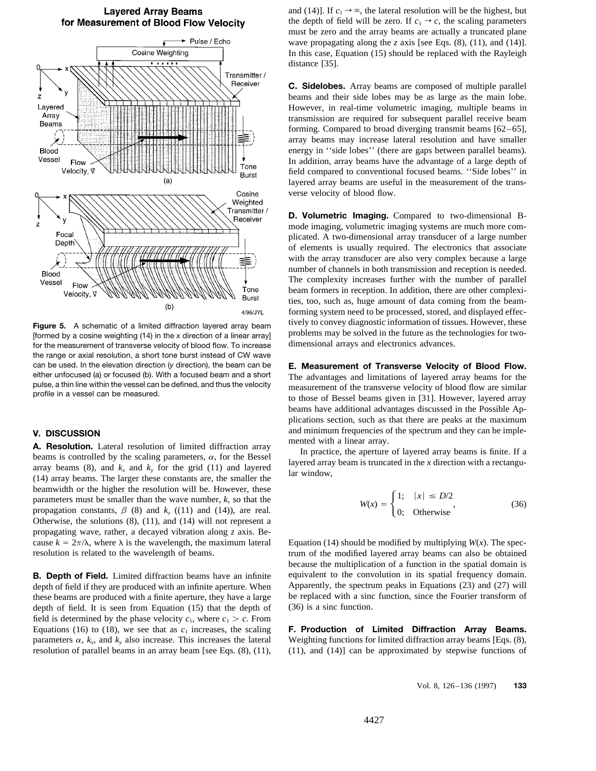

Foca Depth 套 Blood Vessel Flow Tone  $\vec{v}$ Velocity, **Burst**  $(b)$ 4/96/JYL

for the measurement of transverse velocity of blood flow. To increase the range or axial resolution, a short tone burst instead of CW wave can be used. In the elevation direction (*y* direction), the beam can be **E. Measurement of Transverse Velocity of Blood Flow.**<br>
either unfocused (a) or focused (b). With a focused beam and a short The advantages and limit

**A. Resolution.** Lateral resolution of limited diffraction array<br>beams is controlled by the scaling parameters,  $\alpha$ , for the Bessel<br>array beams (8), and  $k_x$  and  $k_y$  for the grid (11) and layered array beam is truncated beamwidth or the higher the resolution will be. However, these beamwidth or the higher the resolution will be. However, these<br>parameters must be smaller than the wave number, *k*, so that the *W*(*x*) =  $\begin{cases} 1; & |x| \le D/2 \\ 0; & \text{Otherwise} \end{cases}$  (36)<br>propagation constants,  $\beta$  (8) and *k<sub>z</sub>* Otherwise, the solutions (8), (11), and (14) will not represent a propagating wave, rather, a decayed vibration along *z* axis. Because  $k = 2\pi/\lambda$ , where  $\lambda$  is the wavelength, the maximum lateral Equation (14) should be modified by multiplying *W*(*x*). The specresolution is related to the wavelength of beams. trum of the modified layered array beams can also be obtained

depth of field if they are produced with an infinite aperture. When Apparently, the spectrum peaks in Equations (23) and (27) will these beams are produced with a finite aperture, they have a large be replaced with a sinc these beams are produced with a finite aperture, they have a large be replaced with a since depth of field. It is seen from Equation  $(15)$  that the depth of  $(36)$  is a sinc function. depth of field. It is seen from Equation  $(15)$  that the depth of field is determined by the phase velocity  $c_1$ , where  $c_1 > c$ . From Equations (16) to (18), we see that as  $c_1$  increases, the scaling **F. Production of Limited Diffraction Array Beams.** parameters  $\alpha$ ,  $k_x$ , and  $k_y$  also increase. This increases the lateral Weighting functions for limited diffraction array beams [Eqs. (8), resolution of parallel beams in an array beam [see Eqs.  $(8)$ ,  $(11)$ ,  $(11)$ , and  $(14)$ ] can be approximated by stepwise functions of

and (14)]. If  $c_1 \rightarrow \infty$ , the lateral resolution will be the highest, but the depth of field will be zero. If  $c_1 \rightarrow c$ , the scaling parameters must be zero and the array beams are actually a truncated plane wave propagating along the *z* axis [see Eqs.  $(8)$ ,  $(11)$ , and  $(14)$ ]. In this case, Equation (15) should be replaced with the Rayleigh distance [35].

**C. Sidelobes.** Array beams are composed of multiple parallel beams and their side lobes may be as large as the main lobe. However, in real-time volumetric imaging, multiple beams in transmission are required for subsequent parallel receive beam forming. Compared to broad diverging transmit beams [62–65], array beams may increase lateral resolution and have smaller energy in ''side lobes'' (there are gaps between parallel beams). In addition, array beams have the advantage of a large depth of field compared to conventional focused beams. ''Side lobes'' in layered array beams are useful in the measurement of the transverse velocity of blood flow.

**D. Volumetric Imaging.** Compared to two-dimensional Bmode imaging, volumetric imaging systems are much more complicated. A two-dimensional array transducer of a large number of elements is usually required. The electronics that associate with the array transducer are also very complex because a large number of channels in both transmission and reception is needed. The complexity increases further with the number of parallel beam formers in reception. In addition, there are other complexities, too, such as, huge amount of data coming from the beamforming system need to be processed, stored, and displayed effec-Figure 5. A schematic of a limited diffraction layered array beam<br>[formed by a cosine weighting (14) in the x direction of a linear array] [formula may be solved in the future as the technologies for two-<br>for the measureme

either unfocused (a) or focused (b). With a focused beam and a short<br>pulse, a thin line within the vessel can be defined, and thus the velocity<br>profile in a vessel can be measured.<br>to those of Bessel beams given in [31]. H beams have additional advantages discussed in the Possible Applications section, such as that there are peaks at the maximum and minimum frequencies of the spectrum and they can be imple- **V. DISCUSSION**

$$
W(x) = \begin{cases} 1; & |x| \le D/2 \\ 0; & \text{Otherwise} \end{cases}
$$
 (36)

because the multiplication of a function in the spatial domain is **B. Depth of Field.** Limited diffraction beams have an infinite equivalent to the convolution in its spatial frequency domain.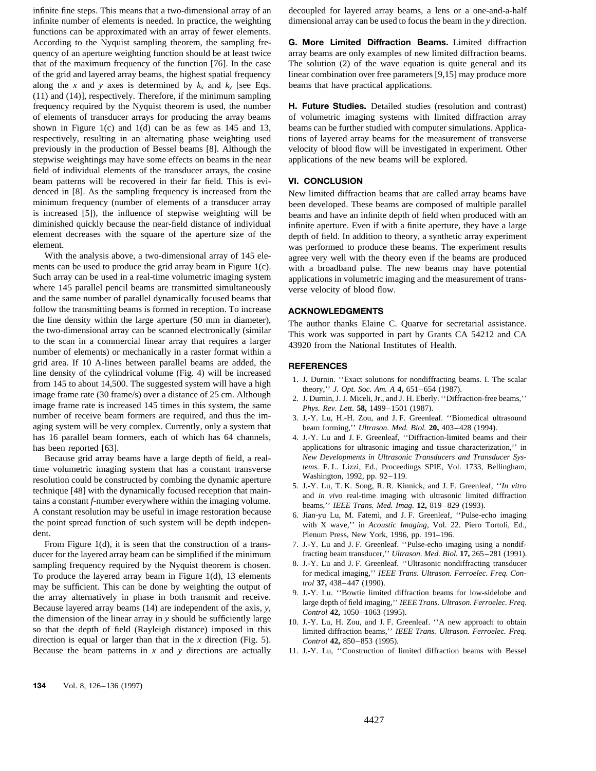infinite number of elements is needed. In practice, the weighting dimensional array can be used to focus the beam in the *y* direction. functions can be approximated with an array of fewer elements. According to the Nyquist sampling theorem, the sampling fre- **G. More Limited Diffraction Beams.** Limited diffraction quency of an aperture weighting function should be at least twice array beams are only examples of new limited diffraction beams. that of the maximum frequency of the function [76]. In the case The solution (2) of the wave equation is quite general and its of the grid and layered array beams, the highest spatial frequency linear combination over free parameters [9,15] may produce more along the *x* and *y* axes is determined by  $k_x$  and  $k_y$  [see Eqs. beams that have practical applications. (11) and (14)], respectively. Therefore, if the minimum sampling frequency required by the Nyquist theorem is used, the number **H. Future Studies.** Detailed studies (resolution and contrast) of elements of transducer arrays for producing the array beams of volumetric imaging systems with limited diffraction array shown in Figure 1(c) and 1(d) can be as few as 145 and 13, beams can be further studied with computer simulations. Applicarespectively, resulting in an alternating phase weighting used tions of layered array beams for the measurement of transverse previously in the production of Bessel beams [8]. Although the velocity of blood flow will be investigated in experiment. Other stepwise weightings may have some effects on beams in the near applications of the new beams will be explored. field of individual elements of the transducer arrays, the cosine beam patterns will be recovered in their far field. This is evi- **VI. CONCLUSION** denced in [8]. As the sampling frequency is increased from the New limited diffraction beams that are called array beams have minimum frequency (number of elements of a transducer array been developed. These beams are composed of multiple parallel<br>is increased [5]), the influence of stepwise weighting will be beams and have an infinite denth of f is increased [5]), the influence of stepwise weighting will be beams and have an infinite depth of field when produced with an diminished quickly because the near-field distance of individual infinite aperture. Even if wit element decreases with the square of the aperture size of the depth of field. In addition to theory, a synthetic array experiment element.

With the analysis above, a two-dimensional array of 145 ele-<br>ments can be used to produce the grid array beam in Figure 1(c). with a broadband pulse. The new beams may have potential Such array can be used in a real-time volumetric imaging system applications in volumetric imaging and the measurement of transwhere 145 parallel pencil beams are transmitted simultaneously verse velocity of blood flow. and the same number of parallel dynamically focused beams that follow the transmitting beams is formed in reception. To increase **ACKNOWLEDGMENTS** the line density within the large aperture (50 mm in diameter), The author thanks Elaine the me density within the large aperture (50 mm in diameter),<br>the author thanks Elaine C. Quarve for secretarial assistance.<br>the two-dimensional array can be scanned electronically (similar<br>to the scan in a commercial line number of elements) or mechanically in a raster format within a grid area. If 10 A-lines between parallel beams are added, the **REFERENCES** line density of the cylindrical volume (Fig. 4) will be increased From 145 to about 14,500. The suggested system will have a high<br>
image frame rate (30 frame/s) over a distance of 25 cm. Although<br>
image frame rate is increased 145 times in this system, the same<br>
number of receive beam fo aging system will be very complex. Currently, only a system that beam forming,'' *Ultrason. Med. Biol.* **20,** 403–428 (1994). has 16 parallel beam formers, each of which has 64 channels, 4. J.-Y. Lu and J. F. Greenleaf, "Diffraction-limited beams and their

time volumetric imaging system that has a constant transverse<br>
resolution could be constructed by combing the dynamic aperture<br>
technique [48] with the dynamically focused reception that main-<br>
tains a constant f-number ev

From Figure 1(d), it is seen that the construction of a trans- 7. J.-Y. Lu and J. F. Greenleaf. "Pulse-echo imaging using a nondifducer for the layered array beam can be simplified if the minimum fracting beam transducer," *Ultrason. Med. Biol.* **17**, 265–281 (1991).<br>
sampling frequency required by the Nyquist theorem is chosen. 8. J.-Y. Lu and J. F. sampling frequency required by the Nyquist theorem is chosen. 8. J.-Y. Lu and J. F. Greenleaf. "Ultrasonic nondiffracting transducer To produce the lavered array beam in Figure 1(d) 13 elements for medical imaging," IEEE T To produce the layered array beam in Figure 1(d), 13 elements<br>
may be sufficient. This can be done by weighting the output of<br>
the array alternatively in phase in both transmit and receive.<br>
Because layered array beams (14 direction is equal or larger than that in the *x* direction (Fig. 5). *Control* **42,** 850–853 (1995). Because the beam patterns in *x* and *y* directions are actually 11. J.-Y. Lu, "Construction of limited diffraction beams with Bessel

infinite fine steps. This means that a two-dimensional array of an decoupled for layered array beams, a lens or a one-and-a-half

infinite aperture. Even if with a finite aperture, they have a large ment.<br>With the analysis above, a two-dimensional array of 145 ele-<br>was performed to produce these beams. The experiment results<br>with the theory even if the beams are produced with a broadband pulse. The new beams may have potential

- 
- 
- 3. J.-Y. Lu, H.-H. Zou, and J. F. Greenleaf. ''Biomedical ultrasound
- has been reported [63].<br>
Hecause orid array beams have a large denth of field a real-<br>
New Developments in Ultrasonic Transducers and Transducer Sys-<br>
New Developments in Ultrasonic Transducers and Transducer Sys-Because grid array beams have a large depth of field, a real-<br> *New Developments in Ultrasonic Transducers and Transducer Sys-*<br> *tems.* F. L. Lizzi, Ed., Proceedings SPIE, Vol. 1733, Bellingham,
	-
- the point spread function of such system will be depth indepen-<br>dent.<br>Plenum Press, New York, 1996, pp. 191–196.
	-
	-
	-
	-
	-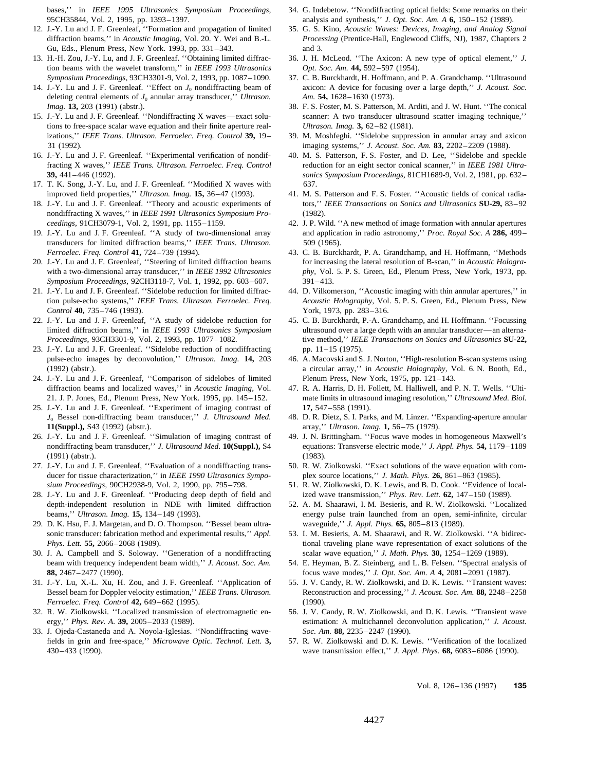95CH35844, Vol. 2, 1995, pp. 1393–1397. analysis and synthesis,'' *J. Opt. Soc. Am. A* **6,** 150–152 (1989).

- Gu, Eds., Plenum Press, New York. 1993, pp. 331–343. and 3.
- 13. H.-H. Zou, J.-Y. Lu, and J. F. Greenleaf. ''Obtaining limited diffrac- 36. J. H. McLeod. ''The Axicon: A new type of optical element,'' *J.* tion beams with the wavelet transform,'' in *IEEE 1993 Ultrasonics Opt. Soc. Am.* **44,** 592–597 (1954).
- 14. J.-Y. Lu and J. F. Greenleaf. ''Effect on *J*<sup>0</sup> nondiffracting beam of axicon: A device for focusing over a large depth,'' *J. Acoust. Soc.* deleting central elements of *J*<sup>0</sup> annular array transducer,'' *Ultrason. Am.* **54,** 1628–1630 (1973). *Imag.* **13,** 203 (1991) (abstr.). 38. F. S. Foster, M. S. Patterson, M. Arditi, and J. W. Hunt. ''The conical
- tions to free-space scalar wave equation and their finite aperture real- *Ultrason. Imag.* **3,** 62–82 (1981). izations,'' *IEEE Trans. Ultrason. Ferroelec. Freq. Control* **39,** 19– 39. M. Moshfeghi. ''Sidelobe suppression in annular array and axicon 31 (1992). imaging systems,'' *J. Acoust. Soc. Am.* **83,** 2202–2209 (1988).
- 
- 17. T. K. Song, J.-Y. Lu, and J. F. Greenleaf. ''Modified X waves with 637. improved field properties,'' *Ultrason. Imag.* **15,** 36–47 (1993). 41. M. S. Patterson and F. S. Foster. ''Acoustic fields of conical radia-
- nondiffracting X waves,'' in *IEEE 1991 Ultrasonics Symposium Pro-* (1982). *ceedings,* 91CH3079-1, Vol. 2, 1991, pp. 1155–1159. 42. J. P. Wild. ''A new method of image formation with annular apertures
- transducers for limited diffraction beams,'' *IEEE Trans. Ultrason.* 509 (1965). *Ferroelec. Freq. Control* **41,** 724–739 (1994). 43. C. B. Burckhardt, P. A. Grandchamp, and H. Hoffmann, ''Methods
- *Symposium Proceedings,* 92CH3118-7, Vol. 1, 1992, pp. 603–607. 391–413.
- *Control* **40,** 735–746 (1993). York, 1973, pp. 283–316.
- 
- 23. J.-Y. Lu and J. F. Greenleaf. ''Sidelobe reduction of nondiffracting pp. 11–15 (1975). pulse-echo images by deconvolution,'' *Ultrason. Imag.* **14,** 203 46. A. Macovski and S. J. Norton, ''High-resolution B-scan systems using
- 24. J.-Y. Lu and J. F. Greenleaf, ''Comparison of sidelobes of limited Plenum Press, New York, 1975, pp. 121–143. diffraction beams and localized waves,'' in *Acoustic Imaging,* Vol. 47. R. A. Harris, D. H. Follett, M. Halliwell, and P. N. T. Wells. ''Ulti-
- 25. J.-Y. Lu and J. F. Greenleaf. ''Experiment of imaging contrast of **17,** 547–558 (1991). *J*<sup>0</sup> Bessel non-diffracting beam transducer,'' *J. Ultrasound Med.* 48. D. R. Dietz, S. I. Parks, and M. Linzer. ''Expanding-aperture annular **11(Suppl.),** S43 (1992) (abstr.). array,'' *Ultrason. Imag.* **1,** 56–75 (1979).
- 26. J.-Y. Lu and J. F. Greenleaf. ''Simulation of imaging contrast of 49. J. N. Brittingham. ''Focus wave modes in homogeneous Maxwell's nondiffracting beam transducer,'' J. Ultrasound Med. 10(Suppl.), S4 equations: Transv (1991) (abstr.). (1983).
- ducer for tissue characterization,'' in *IEEE 1990 Ultrasonics Sympo-* plex source locations,'' *J. Math. Phys.* **26,** 861–863 (1985). *sium Proceedings,* 90CH2938-9, Vol. 2, 1990, pp. 795–798. 51. R. W. Ziolkowski, D. K. Lewis, and B. D. Cook. ''Evidence of local-
- depth-independent resolution in NDE with limited diffraction 52. A. M. Shaarawi, I. M. Besieris, and R. W. Ziolkowski. ''Localized
- 29. D. K. Hsu, F. J. Margetan, and D. O. Thompson. ''Bessel beam ultra- waveguide,'' *J. Appl. Phys.* **65,** 805–813 (1989). sonic transducer: fabrication method and experimental results," *Appl.* 53. I. M. Besieris, A. M. Shaarawi, and R. W. Ziolkowski. "A bidirec-
- 30. J. A. Campbell and S. Soloway. ''Generation of a nondiffracting scalar wave equation,'' *J. Math. Phys.* **30,** 1254–1269 (1989). beam with frequency independent beam width,'' *J. Acoust. Soc. Am.* 54. E. Heyman, B. Z. Steinberg, and L. B. Felsen. ''Spectral analysis of
- 31. J.-Y. Lu, X.-L. Xu, H. Zou, and J. F. Greenleaf. ''Application of 55. J. V. Candy, R. W. Ziolkowski, and D. K. Lewis. ''Transient waves: *Ferroelec. Freq. Control* **42,** 649–662 (1995). (1990).
- 32. R. W. Ziolkowski. ''Localized transmission of electromagnetic en- 56. J. V. Candy, R. W. Ziolkowski, and D. K. Lewis. ''Transient wave
- 33. J. Ojeda-Castaneda and A. Noyola-Iglesias. ''Nondiffracting wave- *Soc. Am.* **88,** 2235–2247 (1990). fields in grin and free-space,'' *Microwave Optic. Technol. Lett.* **3,** 57. R. W. Ziolkowski and D. K. Lewis. ''Verification of the localized
- bases,'' in *IEEE 1995 Ultrasonics Symposium Proceedings,* 34. G. Indebetow. ''Nondiffracting optical fields: Some remarks on their
- 12. J.-Y. Lu and J. F. Greenleaf, ''Formation and propagation of limited 35. G. S. Kino, *Acoustic Waves: Devices, Imaging, and Analog Signal* diffraction beams,'' in *Acoustic Imaging,* Vol. 20. Y. Wei and B.-L. *Processing* (Prentice-Hall, Englewood Cliffs, NJ), 1987, Chapters 2
	-
	- *Symposium Proceedings,* 93CH3301-9, Vol. 2, 1993, pp. 1087–1090. 37. C. B. Burckhardt, H. Hoffmann, and P. A. Grandchamp. ''Ultrasound
- 15. J.-Y. Lu and J. F. Greenleaf. ''Nondiffracting X waves—exact solu- scanner: A two transducer ultrasound scatter imaging technique,''
	-
- 16. J.-Y. Lu and J. F. Greenleaf. ''Experimental verification of nondif- 40. M. S. Patterson, F. S. Foster, and D. Lee, ''Sidelobe and speckle fracting X waves,'' *IEEE Trans. Ultrason. Ferroelec. Freq. Control* reduction for an eight sector conical scanner,'' in *IEEE 1981 Ultra-***39,** 441–446 (1992). *sonics Symposium Proceedings,* 81CH1689-9, Vol. 2, 1981, pp. 632–
- 18. J.-Y. Lu and J. F. Greenleaf. ''Theory and acoustic experiments of tors,'' *IEEE Transactions on Sonics and Ultrasonics* **SU-29,** 83–92
- 19. J.-Y. Lu and J. F. Greenleaf. ''A study of two-dimensional array and application in radio astronomy,'' *Proc. Royal Soc. A* **286,** 499–
- 20. J.-Y. Lu and J. F. Greenleaf, ''Steering of limited diffraction beams for increasing the lateral resolution of B-scan,'' in *Acoustic Hologra*with a two-dimensional array transducer," in *IEEE 1992 Ultrasonics phy, Vol. 5. P. S. Green, Ed., Plenum Press, New York, 1973, pp.*
- 21. J.-Y. Lu and J. F. Greenleaf. ''Sidelobe reduction for limited diffrac- 44. D. Vilkomerson, ''Acoustic imaging with thin annular apertures,'' in tion pulse-echo systems,'' *IEEE Trans. Ultrason. Ferroelec. Freq. Acoustic Holography,* Vol. 5. P. S. Green, Ed., Plenum Press, New
- 22. J.-Y. Lu and J. F. Greenleaf, ''A study of sidelobe reduction for 45. C. B. Burckhardt, P.-A. Grandchamp, and H. Hoffmann. ''Focussing limited diffraction beams,'' in *IEEE 1993 Ultrasonics Symposium* ultrasound over a large depth with an annular transducer—an alterna-*Proceedings,* 93CH3301-9, Vol. 2, 1993, pp. 1077–1082. tive method,'' *IEEE Transactions on Sonics and Ultrasonics* **SU-22,**
	- (1992) (abstr.). a circular array,'' in *Acoustic Holography,* Vol. 6. N. Booth, Ed.,
	- 21. J. P. Jones, Ed., Plenum Press, New York. 1995, pp. 145–152. mate limits in ultrasound imaging resolution,'' *Ultrasound Med. Biol.*
		-
		- equations: Transverse electric mode," *J. Appl. Phys.* **54,** 1179–1189
- 27. J.-Y. Lu and J. F. Greenleaf, ''Evaluation of a nondiffracting trans- 50. R. W. Ziolkowski. ''Exact solutions of the wave equation with com-
- 28. J.-Y. Lu and J. F. Greenleaf. ''Producing deep depth of field and ized wave transmission,'' *Phys. Rev. Lett.* **62,** 147–150 (1989).
	- beams,'' *Ultrason. Imag.* **15,** 134–149 (1993). energy pulse train launched from an open, semi-infinite, circular
	- *Phys. Lett.* **55,** 2066–2068 (1989). tional traveling plane wave representation of exact solutions of the
	- **88,** 2467–2477 (1990). focus wave modes,'' *J. Opt. Soc. Am. A* **4,** 2081–2091 (1987).
	- Bessel beam for Doppler velocity estimation,'' *IEEE Trans. Ultrason.* Reconstruction and processing,'' *J. Acoust. Soc. Am.* **88,** 2248–2258
	- ergy,'' *Phys. Rev. A.* **39,** 2005–2033 (1989). estimation: A multichannel deconvolution application,'' *J. Acoust.*
	- 430–433 (1990). wave transmission effect,'' *J. Appl. Phys.* **68,** 6083–6086 (1990).